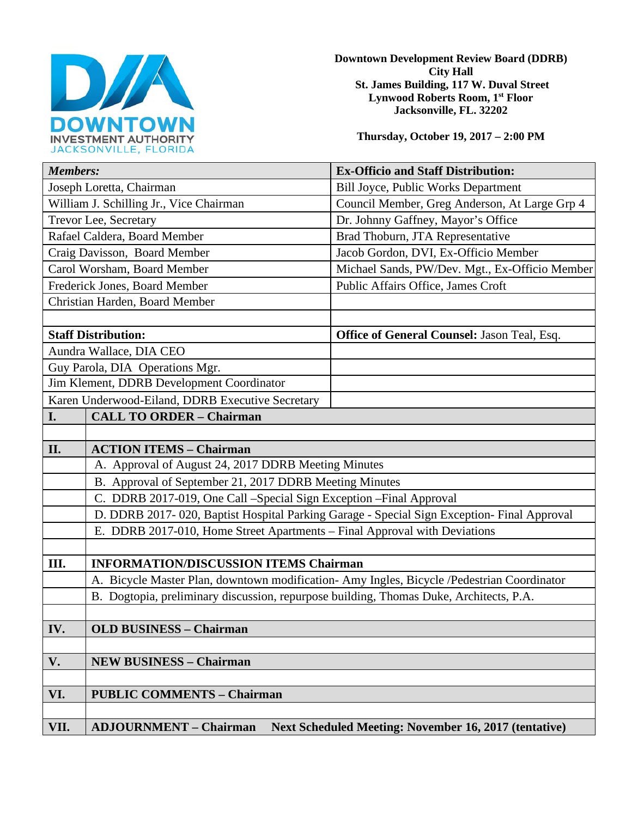

**Downtown Development Review Board (DDRB) City Hall St. James Building, 117 W. Duval Street Lynwood Roberts Room, 1st Floor Jacksonville, FL. 32202** 

**Thursday, October 19, 2017 – 2:00 PM**

| <b>Members:</b>                                  |                                                                                               | <b>Ex-Officio and Staff Distribution:</b>          |  |
|--------------------------------------------------|-----------------------------------------------------------------------------------------------|----------------------------------------------------|--|
| Joseph Loretta, Chairman                         |                                                                                               | <b>Bill Joyce, Public Works Department</b>         |  |
| William J. Schilling Jr., Vice Chairman          |                                                                                               | Council Member, Greg Anderson, At Large Grp 4      |  |
| Trevor Lee, Secretary                            |                                                                                               | Dr. Johnny Gaffney, Mayor's Office                 |  |
| Rafael Caldera, Board Member                     |                                                                                               | Brad Thoburn, JTA Representative                   |  |
| Craig Davisson, Board Member                     |                                                                                               | Jacob Gordon, DVI, Ex-Officio Member               |  |
| Carol Worsham, Board Member                      |                                                                                               | Michael Sands, PW/Dev. Mgt., Ex-Officio Member     |  |
| Frederick Jones, Board Member                    |                                                                                               | Public Affairs Office, James Croft                 |  |
| Christian Harden, Board Member                   |                                                                                               |                                                    |  |
|                                                  |                                                                                               |                                                    |  |
| <b>Staff Distribution:</b>                       |                                                                                               | <b>Office of General Counsel: Jason Teal, Esq.</b> |  |
| Aundra Wallace, DIA CEO                          |                                                                                               |                                                    |  |
| Guy Parola, DIA Operations Mgr.                  |                                                                                               |                                                    |  |
| Jim Klement, DDRB Development Coordinator        |                                                                                               |                                                    |  |
| Karen Underwood-Eiland, DDRB Executive Secretary |                                                                                               |                                                    |  |
| I.                                               | <b>CALL TO ORDER - Chairman</b>                                                               |                                                    |  |
|                                                  |                                                                                               |                                                    |  |
| II.                                              | <b>ACTION ITEMS - Chairman</b>                                                                |                                                    |  |
|                                                  | A. Approval of August 24, 2017 DDRB Meeting Minutes                                           |                                                    |  |
|                                                  | B. Approval of September 21, 2017 DDRB Meeting Minutes                                        |                                                    |  |
|                                                  | C. DDRB 2017-019, One Call -Special Sign Exception - Final Approval                           |                                                    |  |
|                                                  | D. DDRB 2017-020, Baptist Hospital Parking Garage - Special Sign Exception- Final Approval    |                                                    |  |
|                                                  | E. DDRB 2017-010, Home Street Apartments - Final Approval with Deviations                     |                                                    |  |
|                                                  |                                                                                               |                                                    |  |
| III.                                             | <b>INFORMATION/DISCUSSION ITEMS Chairman</b>                                                  |                                                    |  |
|                                                  | A. Bicycle Master Plan, downtown modification- Amy Ingles, Bicycle /Pedestrian Coordinator    |                                                    |  |
|                                                  | B. Dogtopia, preliminary discussion, repurpose building, Thomas Duke, Architects, P.A.        |                                                    |  |
|                                                  |                                                                                               |                                                    |  |
| IV.                                              | <b>OLD BUSINESS - Chairman</b>                                                                |                                                    |  |
|                                                  |                                                                                               |                                                    |  |
| V.                                               | <b>NEW BUSINESS - Chairman</b>                                                                |                                                    |  |
|                                                  |                                                                                               |                                                    |  |
| VI.                                              | <b>PUBLIC COMMENTS - Chairman</b>                                                             |                                                    |  |
|                                                  |                                                                                               |                                                    |  |
| VII.                                             | <b>ADJOURNMENT - Chairman</b><br><b>Next Scheduled Meeting: November 16, 2017 (tentative)</b> |                                                    |  |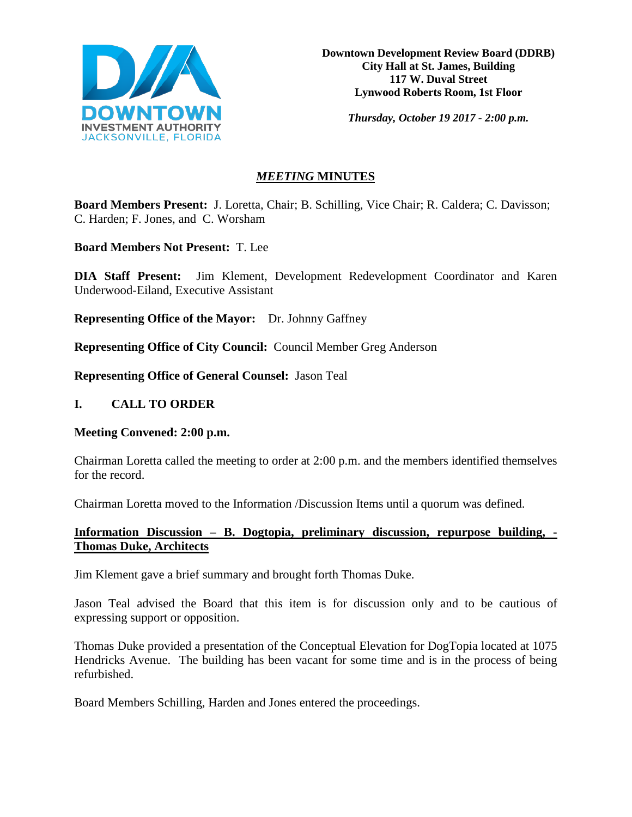

**Downtown Development Review Board (DDRB) City Hall at St. James, Building 117 W. Duval Street Lynwood Roberts Room, 1st Floor**

*Thursday, October 19 2017 - 2:00 p.m.*

# *MEETING* **MINUTES**

**Board Members Present:** J. Loretta, Chair; B. Schilling, Vice Chair; R. Caldera; C. Davisson; C. Harden; F. Jones, and C. Worsham

**Board Members Not Present:** T. Lee

**DIA Staff Present:** Jim Klement, Development Redevelopment Coordinator and Karen Underwood-Eiland, Executive Assistant

**Representing Office of the Mayor:** Dr. Johnny Gaffney

**Representing Office of City Council:** Council Member Greg Anderson

**Representing Office of General Counsel:** Jason Teal

# **I. CALL TO ORDER**

#### **Meeting Convened: 2:00 p.m.**

Chairman Loretta called the meeting to order at 2:00 p.m. and the members identified themselves for the record.

Chairman Loretta moved to the Information /Discussion Items until a quorum was defined.

# **Information Discussion – B. Dogtopia, preliminary discussion, repurpose building, - Thomas Duke, Architects**

Jim Klement gave a brief summary and brought forth Thomas Duke.

Jason Teal advised the Board that this item is for discussion only and to be cautious of expressing support or opposition.

Thomas Duke provided a presentation of the Conceptual Elevation for DogTopia located at 1075 Hendricks Avenue. The building has been vacant for some time and is in the process of being refurbished.

Board Members Schilling, Harden and Jones entered the proceedings.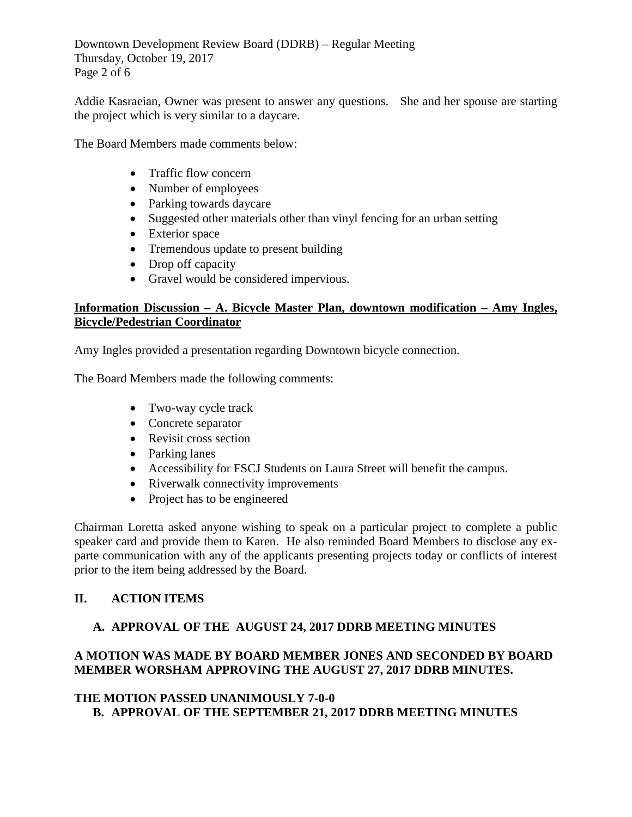Downtown Development Review Board (DDRB) – Regular Meeting Thursday, October 19, 2017 Page 2 of 6

Addie Kasraeian, Owner was present to answer any questions. She and her spouse are starting the project which is very similar to a daycare.

The Board Members made comments below:

- Traffic flow concern
- Number of employees
- Parking towards daycare
- Suggested other materials other than vinyl fencing for an urban setting
- Exterior space
- Tremendous update to present building
- Drop off capacity
- Gravel would be considered impervious.

# **Information Discussion – A. Bicycle Master Plan, downtown modification – Amy Ingles, Bicycle/Pedestrian Coordinator**

Amy Ingles provided a presentation regarding Downtown bicycle connection.

The Board Members made the following comments:

- Two-way cycle track
- Concrete separator
- Revisit cross section
- Parking lanes
- Accessibility for FSCJ Students on Laura Street will benefit the campus.
- Riverwalk connectivity improvements
- Project has to be engineered

Chairman Loretta asked anyone wishing to speak on a particular project to complete a public speaker card and provide them to Karen. He also reminded Board Members to disclose any exparte communication with any of the applicants presenting projects today or conflicts of interest prior to the item being addressed by the Board.

# **II. ACTION ITEMS**

# **A. APPROVAL OF THE AUGUST 24, 2017 DDRB MEETING MINUTES**

# **A MOTION WAS MADE BY BOARD MEMBER JONES AND SECONDED BY BOARD MEMBER WORSHAM APPROVING THE AUGUST 27, 2017 DDRB MINUTES.**

# **THE MOTION PASSED UNANIMOUSLY 7-0-0 B. APPROVAL OF THE SEPTEMBER 21, 2017 DDRB MEETING MINUTES**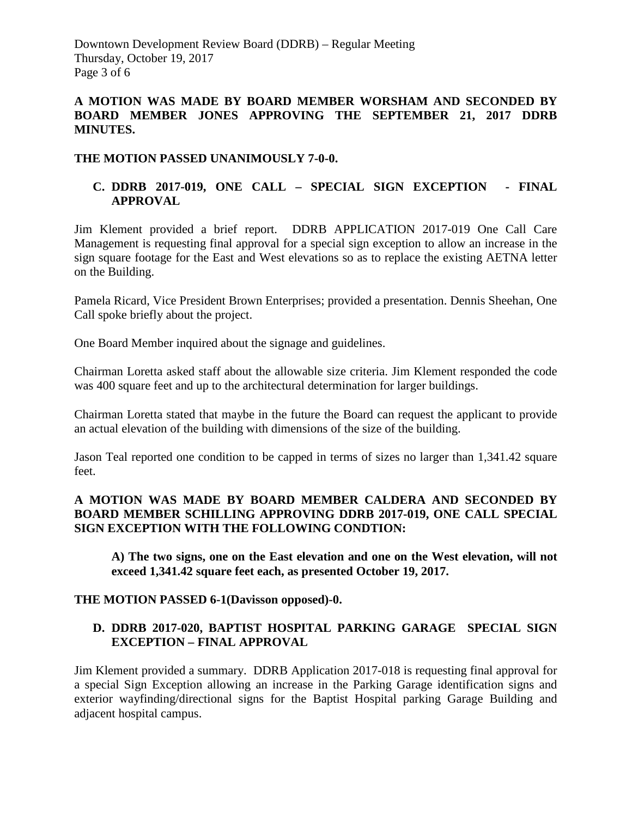Downtown Development Review Board (DDRB) – Regular Meeting Thursday, October 19, 2017 Page 3 of 6

# **A MOTION WAS MADE BY BOARD MEMBER WORSHAM AND SECONDED BY BOARD MEMBER JONES APPROVING THE SEPTEMBER 21, 2017 DDRB MINUTES.**

# **THE MOTION PASSED UNANIMOUSLY 7-0-0.**

# **C. DDRB 2017-019, ONE CALL – SPECIAL SIGN EXCEPTION - FINAL APPROVAL**

Jim Klement provided a brief report. DDRB APPLICATION 2017-019 One Call Care Management is requesting final approval for a special sign exception to allow an increase in the sign square footage for the East and West elevations so as to replace the existing AETNA letter on the Building.

Pamela Ricard, Vice President Brown Enterprises; provided a presentation. Dennis Sheehan, One Call spoke briefly about the project.

One Board Member inquired about the signage and guidelines.

Chairman Loretta asked staff about the allowable size criteria. Jim Klement responded the code was 400 square feet and up to the architectural determination for larger buildings.

Chairman Loretta stated that maybe in the future the Board can request the applicant to provide an actual elevation of the building with dimensions of the size of the building.

Jason Teal reported one condition to be capped in terms of sizes no larger than 1,341.42 square feet.

## **A MOTION WAS MADE BY BOARD MEMBER CALDERA AND SECONDED BY BOARD MEMBER SCHILLING APPROVING DDRB 2017-019, ONE CALL SPECIAL SIGN EXCEPTION WITH THE FOLLOWING CONDTION:**

**A) The two signs, one on the East elevation and one on the West elevation, will not exceed 1,341.42 square feet each, as presented October 19, 2017.**

#### **THE MOTION PASSED 6-1(Davisson opposed)-0.**

# **D. DDRB 2017-020, BAPTIST HOSPITAL PARKING GARAGE SPECIAL SIGN EXCEPTION – FINAL APPROVAL**

Jim Klement provided a summary. DDRB Application 2017-018 is requesting final approval for a special Sign Exception allowing an increase in the Parking Garage identification signs and exterior wayfinding/directional signs for the Baptist Hospital parking Garage Building and adjacent hospital campus.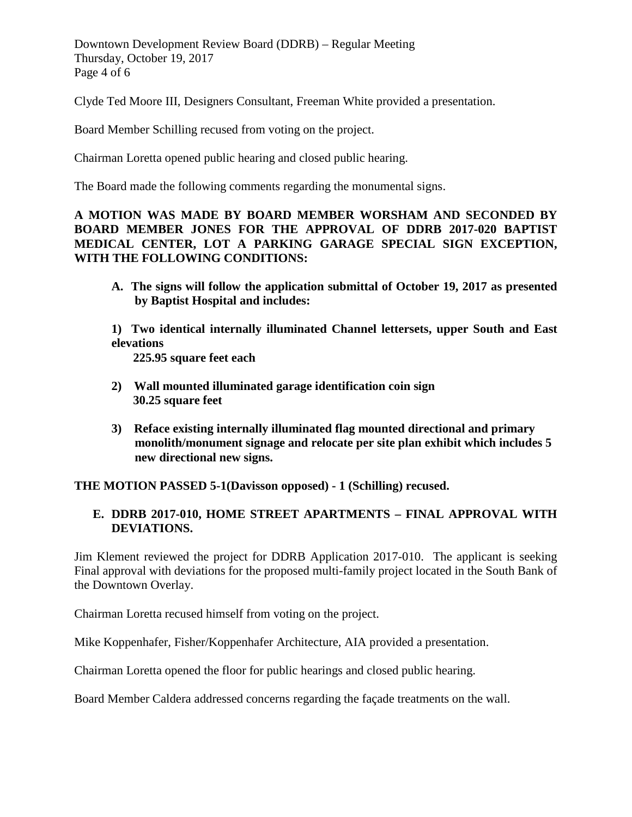Downtown Development Review Board (DDRB) – Regular Meeting Thursday, October 19, 2017 Page 4 of 6

Clyde Ted Moore III, Designers Consultant, Freeman White provided a presentation.

Board Member Schilling recused from voting on the project.

Chairman Loretta opened public hearing and closed public hearing.

The Board made the following comments regarding the monumental signs.

**A MOTION WAS MADE BY BOARD MEMBER WORSHAM AND SECONDED BY BOARD MEMBER JONES FOR THE APPROVAL OF DDRB 2017-020 BAPTIST MEDICAL CENTER, LOT A PARKING GARAGE SPECIAL SIGN EXCEPTION, WITH THE FOLLOWING CONDITIONS:** 

**A. The signs will follow the application submittal of October 19, 2017 as presented by Baptist Hospital and includes:**

**1) Two identical internally illuminated Channel lettersets, upper South and East elevations** 

 **225.95 square feet each**

- **2) Wall mounted illuminated garage identification coin sign 30.25 square feet**
- **3) Reface existing internally illuminated flag mounted directional and primary monolith/monument signage and relocate per site plan exhibit which includes 5 new directional new signs.**

**THE MOTION PASSED 5-1(Davisson opposed) - 1 (Schilling) recused.** 

# **E. DDRB 2017-010, HOME STREET APARTMENTS – FINAL APPROVAL WITH DEVIATIONS.**

Jim Klement reviewed the project for DDRB Application 2017-010. The applicant is seeking Final approval with deviations for the proposed multi-family project located in the South Bank of the Downtown Overlay.

Chairman Loretta recused himself from voting on the project.

Mike Koppenhafer, Fisher/Koppenhafer Architecture, AIA provided a presentation.

Chairman Loretta opened the floor for public hearings and closed public hearing.

Board Member Caldera addressed concerns regarding the façade treatments on the wall.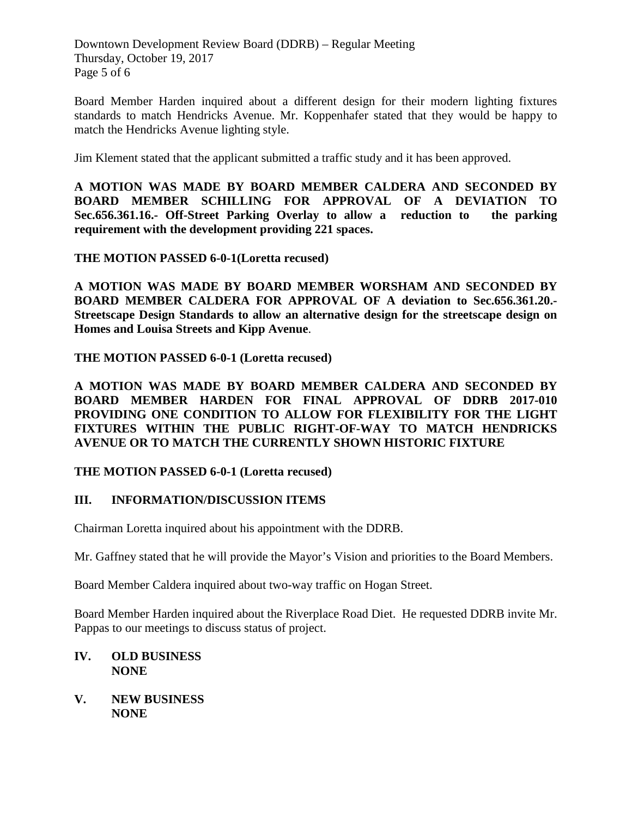Downtown Development Review Board (DDRB) – Regular Meeting Thursday, October 19, 2017 Page 5 of 6

Board Member Harden inquired about a different design for their modern lighting fixtures standards to match Hendricks Avenue. Mr. Koppenhafer stated that they would be happy to match the Hendricks Avenue lighting style.

Jim Klement stated that the applicant submitted a traffic study and it has been approved.

**A MOTION WAS MADE BY BOARD MEMBER CALDERA AND SECONDED BY BOARD MEMBER SCHILLING FOR APPROVAL OF A DEVIATION TO Sec.656.361.16.- Off-Street Parking Overlay to allow a reduction to the parking requirement with the development providing 221 spaces.**

**THE MOTION PASSED 6-0-1(Loretta recused)**

**A MOTION WAS MADE BY BOARD MEMBER WORSHAM AND SECONDED BY BOARD MEMBER CALDERA FOR APPROVAL OF A deviation to Sec.656.361.20.- Streetscape Design Standards to allow an alternative design for the streetscape design on Homes and Louisa Streets and Kipp Avenue**.

**THE MOTION PASSED 6-0-1 (Loretta recused)** 

**A MOTION WAS MADE BY BOARD MEMBER CALDERA AND SECONDED BY BOARD MEMBER HARDEN FOR FINAL APPROVAL OF DDRB 2017-010 PROVIDING ONE CONDITION TO ALLOW FOR FLEXIBILITY FOR THE LIGHT FIXTURES WITHIN THE PUBLIC RIGHT-OF-WAY TO MATCH HENDRICKS AVENUE OR TO MATCH THE CURRENTLY SHOWN HISTORIC FIXTURE**

# **THE MOTION PASSED 6-0-1 (Loretta recused)**

# **III. INFORMATION/DISCUSSION ITEMS**

Chairman Loretta inquired about his appointment with the DDRB.

Mr. Gaffney stated that he will provide the Mayor's Vision and priorities to the Board Members.

Board Member Caldera inquired about two-way traffic on Hogan Street.

Board Member Harden inquired about the Riverplace Road Diet. He requested DDRB invite Mr. Pappas to our meetings to discuss status of project.

# **IV. OLD BUSINESS NONE**

**V. NEW BUSINESS NONE**